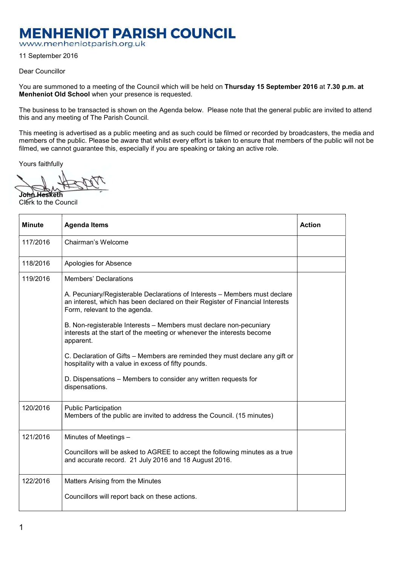## **MENHENIOT PARISH COUNCIL**

www.menheniotparish.org.uk

11 September 2016

## Dear Councillor

You are summoned to a meeting of the Council which will be held on Thursday 15 September 2016 at 7.30 p.m. at Menheniot Old School when your presence is requested.

The business to be transacted is shown on the Agenda below. Please note that the general public are invited to attend this and any meeting of The Parish Council.

This meeting is advertised as a public meeting and as such could be filmed or recorded by broadcasters, the media and members of the public. Please be aware that whilst every effort is taken to ensure that members of the public will not be filmed, we cannot guarantee this, especially if you are speaking or taking an active role.

Yours faithfully

John Hesketh Clerk to the Council

| <b>Minute</b> | <b>Agenda Items</b>                                                                                                                                                                          | <b>Action</b> |
|---------------|----------------------------------------------------------------------------------------------------------------------------------------------------------------------------------------------|---------------|
| 117/2016      | Chairman's Welcome                                                                                                                                                                           |               |
| 118/2016      | Apologies for Absence                                                                                                                                                                        |               |
| 119/2016      | <b>Members' Declarations</b>                                                                                                                                                                 |               |
|               | A. Pecuniary/Registerable Declarations of Interests - Members must declare<br>an interest, which has been declared on their Register of Financial Interests<br>Form, relevant to the agenda. |               |
|               | B. Non-registerable Interests - Members must declare non-pecuniary<br>interests at the start of the meeting or whenever the interests become<br>apparent.                                    |               |
|               | C. Declaration of Gifts - Members are reminded they must declare any gift or<br>hospitality with a value in excess of fifty pounds.                                                          |               |
|               | D. Dispensations – Members to consider any written requests for<br>dispensations.                                                                                                            |               |
| 120/2016      | <b>Public Participation</b><br>Members of the public are invited to address the Council. (15 minutes)                                                                                        |               |
| 121/2016      | Minutes of Meetings -                                                                                                                                                                        |               |
|               | Councillors will be asked to AGREE to accept the following minutes as a true<br>and accurate record. 21 July 2016 and 18 August 2016.                                                        |               |
| 122/2016      | Matters Arising from the Minutes                                                                                                                                                             |               |
|               | Councillors will report back on these actions.                                                                                                                                               |               |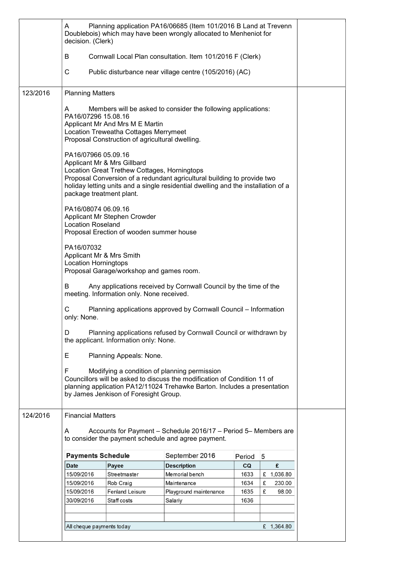|          | A<br>decision. (Clerk)                          |                                                                                                                             | Planning application PA16/06685 (Item 101/2016 B Land at Trevenn<br>Doublebois) which may have been wrongly allocated to Menheniot for                                                               |           |              |  |
|----------|-------------------------------------------------|-----------------------------------------------------------------------------------------------------------------------------|------------------------------------------------------------------------------------------------------------------------------------------------------------------------------------------------------|-----------|--------------|--|
|          | B                                               |                                                                                                                             | Cornwall Local Plan consultation. Item 101/2016 F (Clerk)                                                                                                                                            |           |              |  |
|          | С                                               |                                                                                                                             | Public disturbance near village centre (105/2016) (AC)                                                                                                                                               |           |              |  |
| 123/2016 | <b>Planning Matters</b>                         |                                                                                                                             |                                                                                                                                                                                                      |           |              |  |
|          | A<br>PA16/07296 15.08.16                        | Applicant Mr And Mrs M E Martin<br>Location Treweatha Cottages Merrymeet<br>Proposal Construction of agricultural dwelling. | Members will be asked to consider the following applications:                                                                                                                                        |           |              |  |
|          | PA16/07966 05.09.16                             | Applicant Mr & Mrs Gillbard<br>Location Great Trethew Cottages, Horningtops<br>package treatment plant.                     | Proposal Conversion of a redundant agricultural building to provide two<br>holiday letting units and a single residential dwelling and the installation of a                                         |           |              |  |
|          | PA16/08074 06.09.16<br><b>Location Roseland</b> | Applicant Mr Stephen Crowder<br>Proposal Erection of wooden summer house                                                    |                                                                                                                                                                                                      |           |              |  |
|          | PA16/07032<br><b>Location Horningtops</b>       | Applicant Mr & Mrs Smith<br>Proposal Garage/workshop and games room.                                                        |                                                                                                                                                                                                      |           |              |  |
|          | B                                               | meeting. Information only. None received.                                                                                   | Any applications received by Cornwall Council by the time of the                                                                                                                                     |           |              |  |
|          | С<br>only: None.                                |                                                                                                                             | Planning applications approved by Cornwall Council - Information                                                                                                                                     |           |              |  |
|          | D                                               | the applicant. Information only: None.                                                                                      | Planning applications refused by Cornwall Council or withdrawn by                                                                                                                                    |           |              |  |
|          | Е                                               | Planning Appeals: None.                                                                                                     |                                                                                                                                                                                                      |           |              |  |
|          | F                                               | by James Jenkison of Foresight Group.                                                                                       | Modifying a condition of planning permission<br>Councillors will be asked to discuss the modification of Condition 11 of<br>planning application PA12/11024 Trehawke Barton. Includes a presentation |           |              |  |
| 124/2016 | <b>Financial Matters</b>                        |                                                                                                                             |                                                                                                                                                                                                      |           |              |  |
|          | A                                               |                                                                                                                             | Accounts for Payment - Schedule 2016/17 - Period 5- Members are<br>to consider the payment schedule and agree payment.                                                                               |           |              |  |
|          | <b>Payments Schedule</b>                        |                                                                                                                             | September 2016                                                                                                                                                                                       | Period    | 5            |  |
|          | <b>Date</b>                                     | Payee                                                                                                                       | <b>Description</b>                                                                                                                                                                                   | <b>CQ</b> | £            |  |
|          | 15/09/2016                                      | Streetmaster                                                                                                                | Memorial bench                                                                                                                                                                                       | 1633      | £ 1,036.80   |  |
|          | 15/09/2016                                      | Rob Craig                                                                                                                   | Maintenance                                                                                                                                                                                          | 1634      | £<br>230.00  |  |
|          | 15/09/2016                                      | <b>Fenland Leisure</b>                                                                                                      | Playground maintenance                                                                                                                                                                               | 1635      | £<br>98.00   |  |
|          | 30/09/2016                                      | Staff costs                                                                                                                 | Salariy                                                                                                                                                                                              | 1636      |              |  |
|          |                                                 |                                                                                                                             |                                                                                                                                                                                                      |           |              |  |
|          | All cheque payments today                       |                                                                                                                             |                                                                                                                                                                                                      |           | £ $1,364.80$ |  |
|          |                                                 |                                                                                                                             |                                                                                                                                                                                                      |           |              |  |